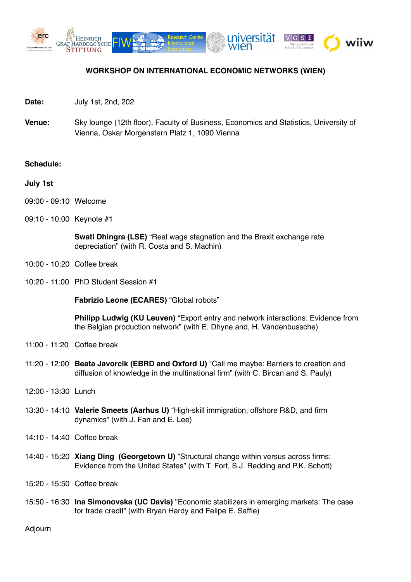

## **WORKSHOP ON INTERNATIONAL ECONOMIC NETWORKS (WIEN)**

- **Date:** July 1st, 2nd, 202
- **Venue:** Sky lounge (12th floor), Faculty of Business, Economics and Statistics, University of Vienna, Oskar Morgenstern Platz 1, 1090 Vienna

## **Schedule:**

- **July 1st**
- 09:00 09:10 Welcome
- 09:10 10:00 Keynote #1

**Swati Dhingra (LSE)** "Real wage stagnation and the Brexit exchange rate depreciation" (with R. Costa and S. Machin)

- 10:00 10:20 Coffee break
- 10:20 11:00 PhD Student Session #1

**Fabrizio Leone (ECARES)** "Global robots"

**Philipp Ludwig (KU Leuven)** "Export entry and network interactions: Evidence from the Belgian production network" (with E. Dhyne and, H. Vandenbussche)

- 11:00 11:20 Coffee break
- 11:20 12:00 **Beata Javorcik (EBRD and Oxford U)** "Call me maybe: Barriers to creation and diffusion of knowledge in the multinational firm" (with C. Bircan and S. Pauly)
- 12:00 13:30 Lunch
- 13:30 14:10 **Valerie Smeets (Aarhus U)** !High-skill immigration, offshore R&D, and firm dynamics" (with J. Fan and E. Lee)
- 14:10 14:40 Coffee break
- 14:40 15:20 **Xiang Ding (Georgetown U)** !Structural change within versus across firms: Evidence from the United States" (with T. Fort, S.J. Redding and P.K. Schott)
- 15:20 15:50 Coffee break
- 15:50 16:30 **Ina Simonovska (UC Davis)** "Economic stabilizers in emerging markets: The case for trade credit" (with Bryan Hardy and Felipe E. Saffie)

Adjourn